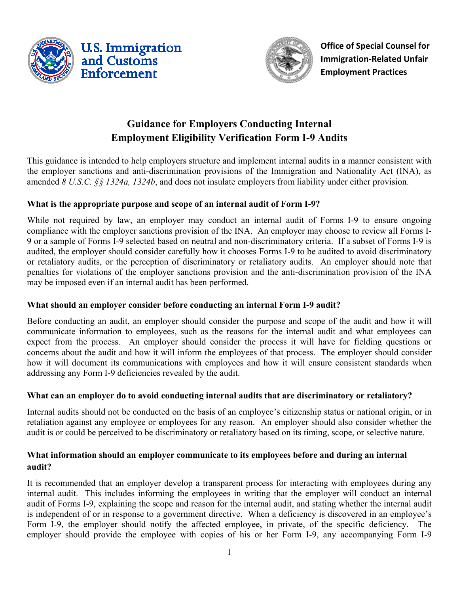



**Office of Special Counsel for Immigration-Related Unfair Employment Practices** 

# **Guidance for Employers Conducting Internal Employment Eligibility Verification Form I-9 Audits**

This guidance is intended to help employers structure and implement internal audits in a manner consistent with the employer sanctions and anti-discrimination provisions of the Immigration and Nationality Act (INA), as amended *8 U.S.C. §§ 1324a, 1324b*, and does not insulate employers from liability under either provision.

# **What is the appropriate purpose and scope of an internal audit of Form I-9?**

While not required by law, an employer may conduct an internal audit of Forms I-9 to ensure ongoing compliance with the employer sanctions provision of the INA. An employer may choose to review all Forms I-9 or a sample of Forms I-9 selected based on neutral and non-discriminatory criteria. If a subset of Forms I-9 is audited, the employer should consider carefully how it chooses Forms I-9 to be audited to avoid discriminatory or retaliatory audits, or the perception of discriminatory or retaliatory audits. An employer should note that penalties for violations of the employer sanctions provision and the anti-discrimination provision of the INA may be imposed even if an internal audit has been performed.

#### **What should an employer consider before conducting an internal Form I-9 audit?**

Before conducting an audit, an employer should consider the purpose and scope of the audit and how it will communicate information to employees, such as the reasons for the internal audit and what employees can expect from the process. An employer should consider the process it will have for fielding questions or concerns about the audit and how it will inform the employees of that process. The employer should consider how it will document its communications with employees and how it will ensure consistent standards when addressing any Form I-9 deficiencies revealed by the audit.

#### **What can an employer do to avoid conducting internal audits that are discriminatory or retaliatory?**

Internal audits should not be conducted on the basis of an employee's citizenship status or national origin, or in retaliation against any employee or employees for any reason. An employer should also consider whether the audit is or could be perceived to be discriminatory or retaliatory based on its timing, scope, or selective nature.

## **What information should an employer communicate to its employees before and during an internal audit?**

It is recommended that an employer develop a transparent process for interacting with employees during any internal audit. This includes informing the employees in writing that the employer will conduct an internal audit of Forms I-9, explaining the scope and reason for the internal audit, and stating whether the internal audit is independent of or in response to a government directive. When a deficiency is discovered in an employee's Form I-9, the employer should notify the affected employee, in private, of the specific deficiency. The employer should provide the employee with copies of his or her Form I-9, any accompanying Form I-9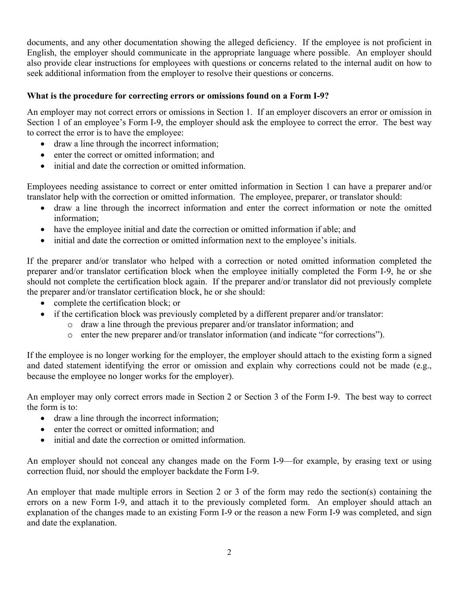documents, and any other documentation showing the alleged deficiency. If the employee is not proficient in English, the employer should communicate in the appropriate language where possible. An employer should also provide clear instructions for employees with questions or concerns related to the internal audit on how to seek additional information from the employer to resolve their questions or concerns.

#### **What is the procedure for correcting errors or omissions found on a Form I-9?**

An employer may not correct errors or omissions in Section 1. If an employer discovers an error or omission in Section 1 of an employee's Form I-9, the employer should ask the employee to correct the error. The best way to correct the error is to have the employee:

- draw a line through the incorrect information;
- enter the correct or omitted information; and
- initial and date the correction or omitted information.

Employees needing assistance to correct or enter omitted information in Section 1 can have a preparer and/or translator help with the correction or omitted information. The employee, preparer, or translator should:

- draw a line through the incorrect information and enter the correct information or note the omitted information;
- have the employee initial and date the correction or omitted information if able; and
- initial and date the correction or omitted information next to the employee's initials.

If the preparer and/or translator who helped with a correction or noted omitted information completed the preparer and/or translator certification block when the employee initially completed the Form I-9, he or she should not complete the certification block again. If the preparer and/or translator did not previously complete the preparer and/or translator certification block, he or she should:

- complete the certification block; or
- if the certification block was previously completed by a different preparer and/or translator:
	- o draw a line through the previous preparer and/or translator information; and
	- o enter the new preparer and/or translator information (and indicate "for corrections").

If the employee is no longer working for the employer, the employer should attach to the existing form a signed and dated statement identifying the error or omission and explain why corrections could not be made (e.g., because the employee no longer works for the employer).

An employer may only correct errors made in Section 2 or Section 3 of the Form I-9. The best way to correct the form is to:

- draw a line through the incorrect information;
- enter the correct or omitted information; and
- initial and date the correction or omitted information.

An employer should not conceal any changes made on the Form I-9—for example, by erasing text or using correction fluid, nor should the employer backdate the Form I-9.

An employer that made multiple errors in Section 2 or 3 of the form may redo the section(s) containing the errors on a new Form I-9, and attach it to the previously completed form. An employer should attach an explanation of the changes made to an existing Form I-9 or the reason a new Form I-9 was completed, and sign and date the explanation.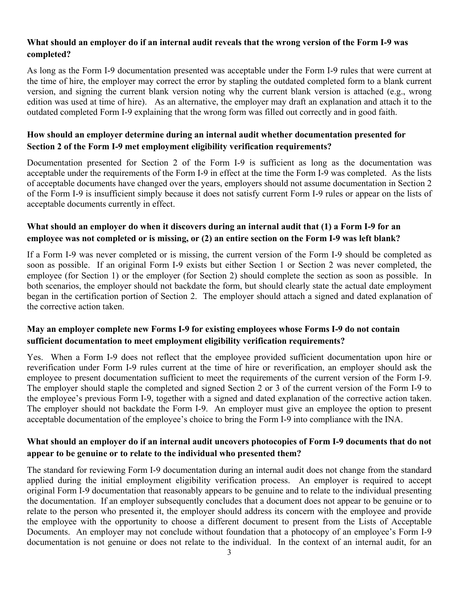#### **What should an employer do if an internal audit reveals that the wrong version of the Form I-9 was completed?**

As long as the Form I-9 documentation presented was acceptable under the Form I-9 rules that were current at the time of hire, the employer may correct the error by stapling the outdated completed form to a blank current version, and signing the current blank version noting why the current blank version is attached (e.g., wrong edition was used at time of hire). As an alternative, the employer may draft an explanation and attach it to the outdated completed Form I-9 explaining that the wrong form was filled out correctly and in good faith.

# **How should an employer determine during an internal audit whether documentation presented for Section 2 of the Form I-9 met employment eligibility verification requirements?**

Documentation presented for Section 2 of the Form I-9 is sufficient as long as the documentation was acceptable under the requirements of the Form I-9 in effect at the time the Form I-9 was completed. As the lists of acceptable documents have changed over the years, employers should not assume documentation in Section 2 of the Form I-9 is insufficient simply because it does not satisfy current Form I-9 rules or appear on the lists of acceptable documents currently in effect.

# **What should an employer do when it discovers during an internal audit that (1) a Form I-9 for an employee was not completed or is missing, or (2) an entire section on the Form I-9 was left blank?**

If a Form I-9 was never completed or is missing, the current version of the Form I-9 should be completed as soon as possible. If an original Form I-9 exists but either Section 1 or Section 2 was never completed, the employee (for Section 1) or the employer (for Section 2) should complete the section as soon as possible. In both scenarios, the employer should not backdate the form, but should clearly state the actual date employment began in the certification portion of Section 2. The employer should attach a signed and dated explanation of the corrective action taken.

# **May an employer complete new Forms I-9 for existing employees whose Forms I-9 do not contain sufficient documentation to meet employment eligibility verification requirements?**

Yes. When a Form I-9 does not reflect that the employee provided sufficient documentation upon hire or reverification under Form I-9 rules current at the time of hire or reverification, an employer should ask the employee to present documentation sufficient to meet the requirements of the current version of the Form I-9. The employer should staple the completed and signed Section 2 or 3 of the current version of the Form I-9 to the employee's previous Form I-9, together with a signed and dated explanation of the corrective action taken. The employer should not backdate the Form I-9. An employer must give an employee the option to present acceptable documentation of the employee's choice to bring the Form I-9 into compliance with the INA.

# **What should an employer do if an internal audit uncovers photocopies of Form I-9 documents that do not appear to be genuine or to relate to the individual who presented them?**

The standard for reviewing Form I-9 documentation during an internal audit does not change from the standard applied during the initial employment eligibility verification process. An employer is required to accept original Form I-9 documentation that reasonably appears to be genuine and to relate to the individual presenting the documentation. If an employer subsequently concludes that a document does not appear to be genuine or to relate to the person who presented it, the employer should address its concern with the employee and provide the employee with the opportunity to choose a different document to present from the Lists of Acceptable Documents. An employer may not conclude without foundation that a photocopy of an employee's Form I-9 documentation is not genuine or does not relate to the individual. In the context of an internal audit, for an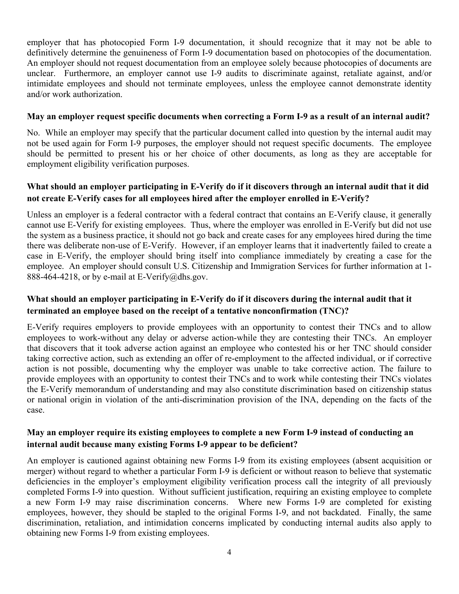employer that has photocopied Form I-9 documentation, it should recognize that it may not be able to definitively determine the genuineness of Form I-9 documentation based on photocopies of the documentation. An employer should not request documentation from an employee solely because photocopies of documents are unclear. Furthermore, an employer cannot use I-9 audits to discriminate against, retaliate against, and/or intimidate employees and should not terminate employees, unless the employee cannot demonstrate identity and/or work authorization.

#### **May an employer request specific documents when correcting a Form I-9 as a result of an internal audit?**

No. While an employer may specify that the particular document called into question by the internal audit may not be used again for Form I-9 purposes, the employer should not request specific documents. The employee should be permitted to present his or her choice of other documents, as long as they are acceptable for employment eligibility verification purposes.

## **What should an employer participating in E-Verify do if it discovers through an internal audit that it did not create E-Verify cases for all employees hired after the employer enrolled in E-Verify?**

Unless an employer is a federal contractor with a federal contract that contains an E-Verify clause, it generally cannot use E-Verify for existing employees. Thus, where the employer was enrolled in E-Verify but did not use the system as a business practice, it should not go back and create cases for any employees hired during the time there was deliberate non-use of E-Verify. However, if an employer learns that it inadvertently failed to create a case in E-Verify, the employer should bring itself into compliance immediately by creating a case for the employee. An employer should consult U.S. Citizenship and Immigration Services for further information at 1- 888-464-4218, or by e-mail at E-Verify@dhs.gov.

# **What should an employer participating in E-Verify do if it discovers during the internal audit that it terminated an employee based on the receipt of a tentative nonconfirmation (TNC)?**

E-Verify requires employers to provide employees with an opportunity to contest their TNCs and to allow employees to work-without any delay or adverse action-while they are contesting their TNCs. An employer that discovers that it took adverse action against an employee who contested his or her TNC should consider taking corrective action, such as extending an offer of re-employment to the affected individual, or if corrective action is not possible, documenting why the employer was unable to take corrective action. The failure to provide employees with an opportunity to contest their TNCs and to work while contesting their TNCs violates the E-Verify memorandum of understanding and may also constitute discrimination based on citizenship status or national origin in violation of the anti-discrimination provision of the INA, depending on the facts of the case.

#### **May an employer require its existing employees to complete a new Form I-9 instead of conducting an internal audit because many existing Forms I-9 appear to be deficient?**

An employer is cautioned against obtaining new Forms I-9 from its existing employees (absent acquisition or merger) without regard to whether a particular Form I-9 is deficient or without reason to believe that systematic deficiencies in the employer's employment eligibility verification process call the integrity of all previously completed Forms I-9 into question. Without sufficient justification, requiring an existing employee to complete a new Form I-9 may raise discrimination concerns. Where new Forms I-9 are completed for existing employees, however, they should be stapled to the original Forms I-9, and not backdated. Finally, the same discrimination, retaliation, and intimidation concerns implicated by conducting internal audits also apply to obtaining new Forms I-9 from existing employees.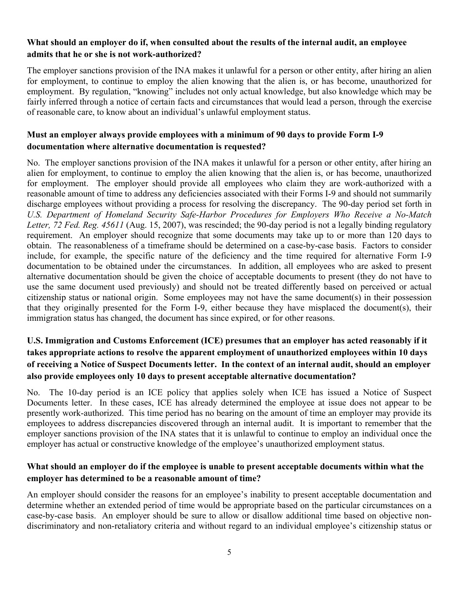### **What should an employer do if, when consulted about the results of the internal audit, an employee admits that he or she is not work-authorized?**

The employer sanctions provision of the INA makes it unlawful for a person or other entity, after hiring an alien for employment, to continue to employ the alien knowing that the alien is, or has become, unauthorized for employment. By regulation, "knowing" includes not only actual knowledge, but also knowledge which may be fairly inferred through a notice of certain facts and circumstances that would lead a person, through the exercise of reasonable care, to know about an individual's unlawful employment status.

# **Must an employer always provide employees with a minimum of 90 days to provide Form I-9 documentation where alternative documentation is requested?**

No. The employer sanctions provision of the INA makes it unlawful for a person or other entity, after hiring an alien for employment, to continue to employ the alien knowing that the alien is, or has become, unauthorized for employment. The employer should provide all employees who claim they are work-authorized with a reasonable amount of time to address any deficiencies associated with their Forms I-9 and should not summarily discharge employees without providing a process for resolving the discrepancy. The 90-day period set forth in *U.S. Department of Homeland Security Safe-Harbor Procedures for Employers Who Receive a No-Match Letter, 72 Fed. Reg. 45611* (Aug. 15, 2007), was rescinded; the 90-day period is not a legally binding regulatory requirement. An employer should recognize that some documents may take up to or more than 120 days to obtain. The reasonableness of a timeframe should be determined on a case-by-case basis. Factors to consider include, for example, the specific nature of the deficiency and the time required for alternative Form I-9 documentation to be obtained under the circumstances. In addition, all employees who are asked to present alternative documentation should be given the choice of acceptable documents to present (they do not have to use the same document used previously) and should not be treated differently based on perceived or actual citizenship status or national origin. Some employees may not have the same document(s) in their possession that they originally presented for the Form I-9, either because they have misplaced the document(s), their immigration status has changed, the document has since expired, or for other reasons.

# **U.S. Immigration and Customs Enforcement (ICE) presumes that an employer has acted reasonably if it takes appropriate actions to resolve the apparent employment of unauthorized employees within 10 days of receiving a Notice of Suspect Documents letter. In the context of an internal audit, should an employer also provide employees only 10 days to present acceptable alternative documentation?**

No. The 10-day period is an ICE policy that applies solely when ICE has issued a Notice of Suspect Documents letter. In these cases, ICE has already determined the employee at issue does not appear to be presently work-authorized. This time period has no bearing on the amount of time an employer may provide its employees to address discrepancies discovered through an internal audit. It is important to remember that the employer sanctions provision of the INA states that it is unlawful to continue to employ an individual once the employer has actual or constructive knowledge of the employee's unauthorized employment status.

# **What should an employer do if the employee is unable to present acceptable documents within what the employer has determined to be a reasonable amount of time?**

An employer should consider the reasons for an employee's inability to present acceptable documentation and determine whether an extended period of time would be appropriate based on the particular circumstances on a case-by-case basis. An employer should be sure to allow or disallow additional time based on objective nondiscriminatory and non-retaliatory criteria and without regard to an individual employee's citizenship status or